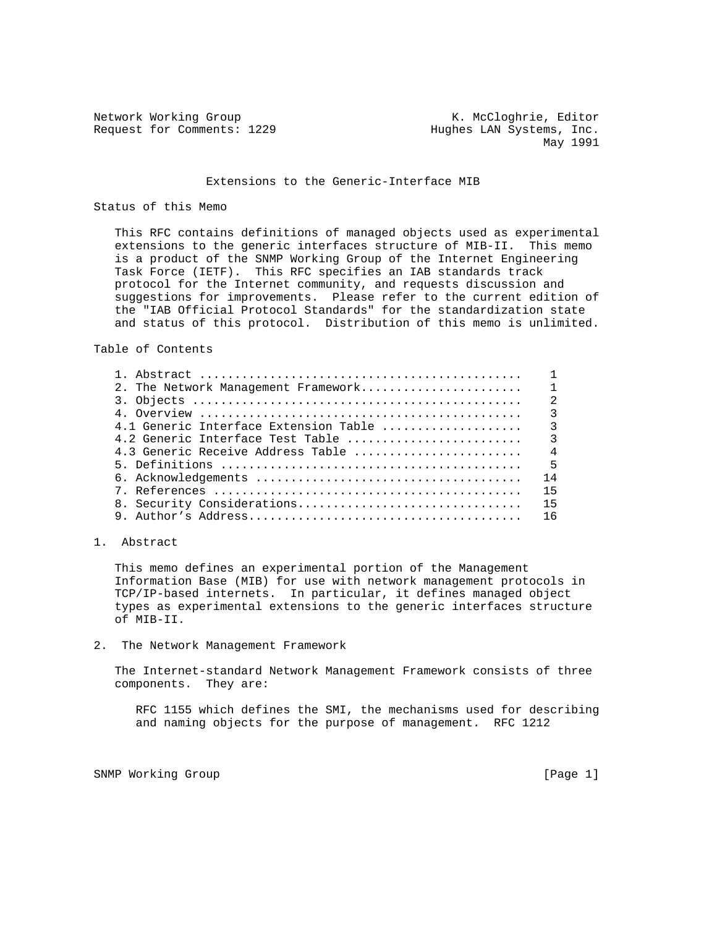Request for Comments: 1229 Hughes LAN Systems, Inc.

Network Working Group Network Working Group Network K. McCloghrie, Editor May 1991

## Extensions to the Generic-Interface MIB

### Status of this Memo

 This RFC contains definitions of managed objects used as experimental extensions to the generic interfaces structure of MIB-II. This memo is a product of the SNMP Working Group of the Internet Engineering Task Force (IETF). This RFC specifies an IAB standards track protocol for the Internet community, and requests discussion and suggestions for improvements. Please refer to the current edition of the "IAB Official Protocol Standards" for the standardization state and status of this protocol. Distribution of this memo is unlimited.

Table of Contents

| 2. The Network Management Framework  |                |
|--------------------------------------|----------------|
|                                      | $\overline{2}$ |
|                                      | 3              |
|                                      |                |
|                                      |                |
| 4.3 Generic Receive Address Table  4 |                |
|                                      | $-5$           |
|                                      | 14             |
|                                      | 15             |
|                                      |                |
|                                      | <b>16</b>      |
|                                      |                |

1. Abstract

 This memo defines an experimental portion of the Management Information Base (MIB) for use with network management protocols in TCP/IP-based internets. In particular, it defines managed object types as experimental extensions to the generic interfaces structure of MIB-II.

2. The Network Management Framework

 The Internet-standard Network Management Framework consists of three components. They are:

 RFC 1155 which defines the SMI, the mechanisms used for describing and naming objects for the purpose of management. RFC 1212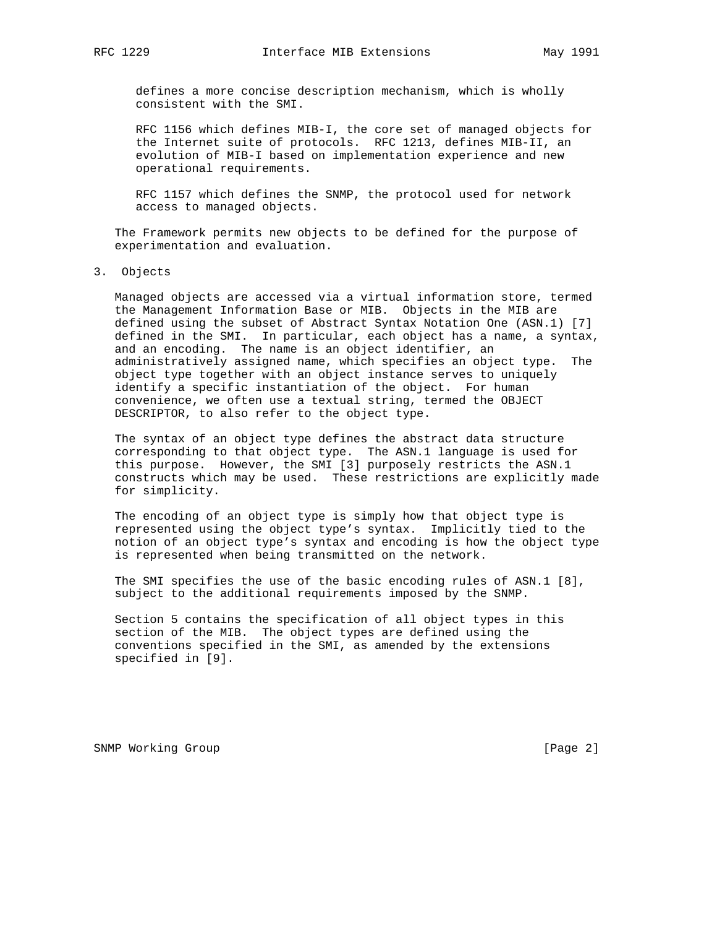defines a more concise description mechanism, which is wholly consistent with the SMI.

 RFC 1156 which defines MIB-I, the core set of managed objects for the Internet suite of protocols. RFC 1213, defines MIB-II, an evolution of MIB-I based on implementation experience and new operational requirements.

 RFC 1157 which defines the SNMP, the protocol used for network access to managed objects.

 The Framework permits new objects to be defined for the purpose of experimentation and evaluation.

3. Objects

 Managed objects are accessed via a virtual information store, termed the Management Information Base or MIB. Objects in the MIB are defined using the subset of Abstract Syntax Notation One (ASN.1) [7] defined in the SMI. In particular, each object has a name, a syntax, and an encoding. The name is an object identifier, an administratively assigned name, which specifies an object type. The object type together with an object instance serves to uniquely identify a specific instantiation of the object. For human convenience, we often use a textual string, termed the OBJECT DESCRIPTOR, to also refer to the object type.

 The syntax of an object type defines the abstract data structure corresponding to that object type. The ASN.1 language is used for this purpose. However, the SMI [3] purposely restricts the ASN.1 constructs which may be used. These restrictions are explicitly made for simplicity.

 The encoding of an object type is simply how that object type is represented using the object type's syntax. Implicitly tied to the notion of an object type's syntax and encoding is how the object type is represented when being transmitted on the network.

 The SMI specifies the use of the basic encoding rules of ASN.1 [8], subject to the additional requirements imposed by the SNMP.

 Section 5 contains the specification of all object types in this section of the MIB. The object types are defined using the conventions specified in the SMI, as amended by the extensions specified in [9].

SNMP Working Group and the set of the set of the set of the set of the set of the set of the set of the set of the set of the set of the set of the set of the set of the set of the set of the set of the set of the set of t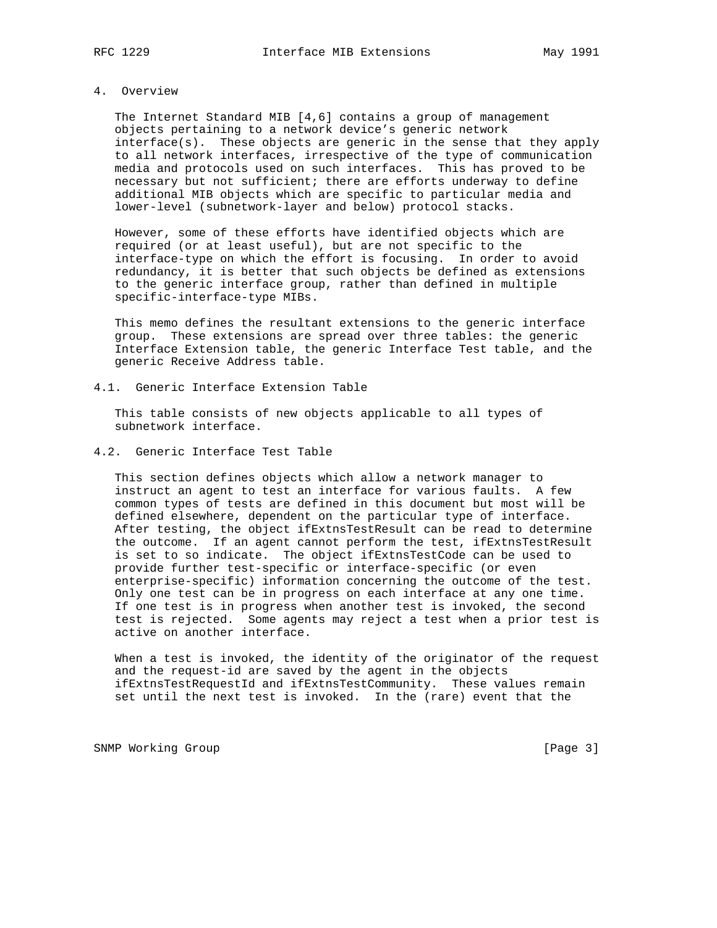## 4. Overview

 The Internet Standard MIB [4,6] contains a group of management objects pertaining to a network device's generic network interface(s). These objects are generic in the sense that they apply to all network interfaces, irrespective of the type of communication media and protocols used on such interfaces. This has proved to be necessary but not sufficient; there are efforts underway to define additional MIB objects which are specific to particular media and lower-level (subnetwork-layer and below) protocol stacks.

 However, some of these efforts have identified objects which are required (or at least useful), but are not specific to the interface-type on which the effort is focusing. In order to avoid redundancy, it is better that such objects be defined as extensions to the generic interface group, rather than defined in multiple specific-interface-type MIBs.

 This memo defines the resultant extensions to the generic interface group. These extensions are spread over three tables: the generic Interface Extension table, the generic Interface Test table, and the generic Receive Address table.

4.1. Generic Interface Extension Table

 This table consists of new objects applicable to all types of subnetwork interface.

4.2. Generic Interface Test Table

 This section defines objects which allow a network manager to instruct an agent to test an interface for various faults. A few common types of tests are defined in this document but most will be defined elsewhere, dependent on the particular type of interface. After testing, the object ifExtnsTestResult can be read to determine the outcome. If an agent cannot perform the test, ifExtnsTestResult is set to so indicate. The object ifExtnsTestCode can be used to provide further test-specific or interface-specific (or even enterprise-specific) information concerning the outcome of the test. Only one test can be in progress on each interface at any one time. If one test is in progress when another test is invoked, the second test is rejected. Some agents may reject a test when a prior test is active on another interface.

 When a test is invoked, the identity of the originator of the request and the request-id are saved by the agent in the objects ifExtnsTestRequestId and ifExtnsTestCommunity. These values remain set until the next test is invoked. In the (rare) event that the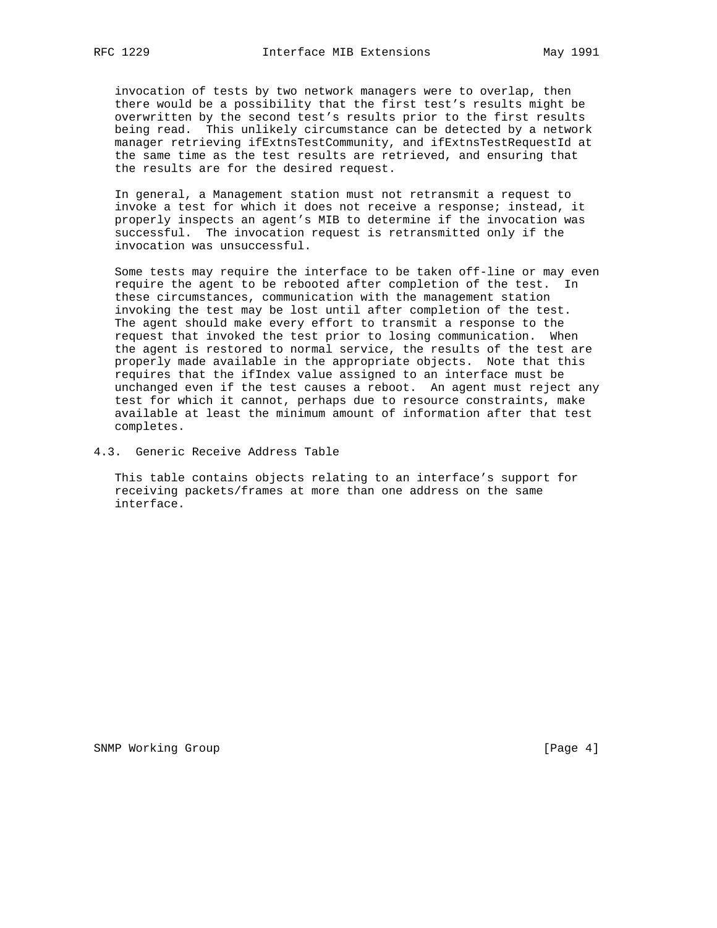invocation of tests by two network managers were to overlap, then there would be a possibility that the first test's results might be overwritten by the second test's results prior to the first results being read. This unlikely circumstance can be detected by a network manager retrieving ifExtnsTestCommunity, and ifExtnsTestRequestId at the same time as the test results are retrieved, and ensuring that the results are for the desired request.

 In general, a Management station must not retransmit a request to invoke a test for which it does not receive a response; instead, it properly inspects an agent's MIB to determine if the invocation was successful. The invocation request is retransmitted only if the invocation was unsuccessful.

 Some tests may require the interface to be taken off-line or may even require the agent to be rebooted after completion of the test. In these circumstances, communication with the management station invoking the test may be lost until after completion of the test. The agent should make every effort to transmit a response to the request that invoked the test prior to losing communication. When the agent is restored to normal service, the results of the test are properly made available in the appropriate objects. Note that this requires that the ifIndex value assigned to an interface must be unchanged even if the test causes a reboot. An agent must reject any test for which it cannot, perhaps due to resource constraints, make available at least the minimum amount of information after that test completes.

4.3. Generic Receive Address Table

 This table contains objects relating to an interface's support for receiving packets/frames at more than one address on the same interface.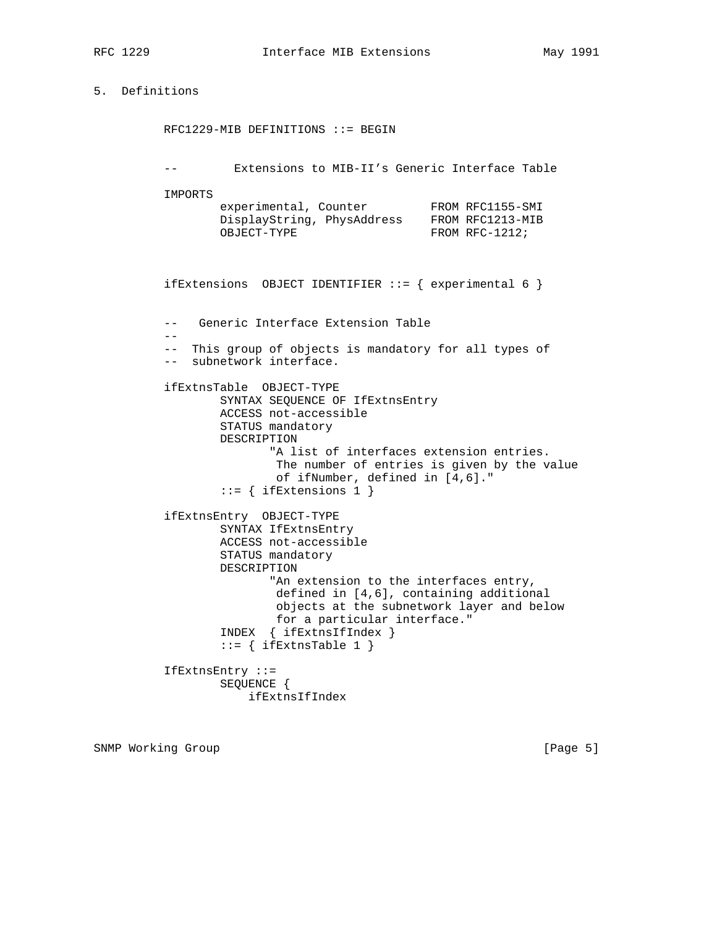## 5. Definitions

 RFC1229-MIB DEFINITIONS ::= BEGIN -- Extensions to MIB-II's Generic Interface Table IMPORTS experimental, Counter FROM RFC1155-SMI DisplayString, PhysAddress FROM RFC1213-MIB OBJECT-TYPE FROM RFC-1212; ifExtensions OBJECT IDENTIFIER  $::=$  { experimental 6 } -- Generic Interface Extension Table -- -- This group of objects is mandatory for all types of -- subnetwork interface. ifExtnsTable OBJECT-TYPE SYNTAX SEQUENCE OF IfExtnsEntry ACCESS not-accessible STATUS mandatory DESCRIPTION "A list of interfaces extension entries. The number of entries is given by the value of ifNumber, defined in [4,6]."  $::=$  { ifExtensions 1 } ifExtnsEntry OBJECT-TYPE SYNTAX IfExtnsEntry ACCESS not-accessible STATUS mandatory DESCRIPTION "An extension to the interfaces entry, defined in [4,6], containing additional objects at the subnetwork layer and below for a particular interface." INDEX { ifExtnsIfIndex }  $::=$  { ifExtnsTable 1 } IfExtnsEntry ::= SEQUENCE { ifExtnsIfIndex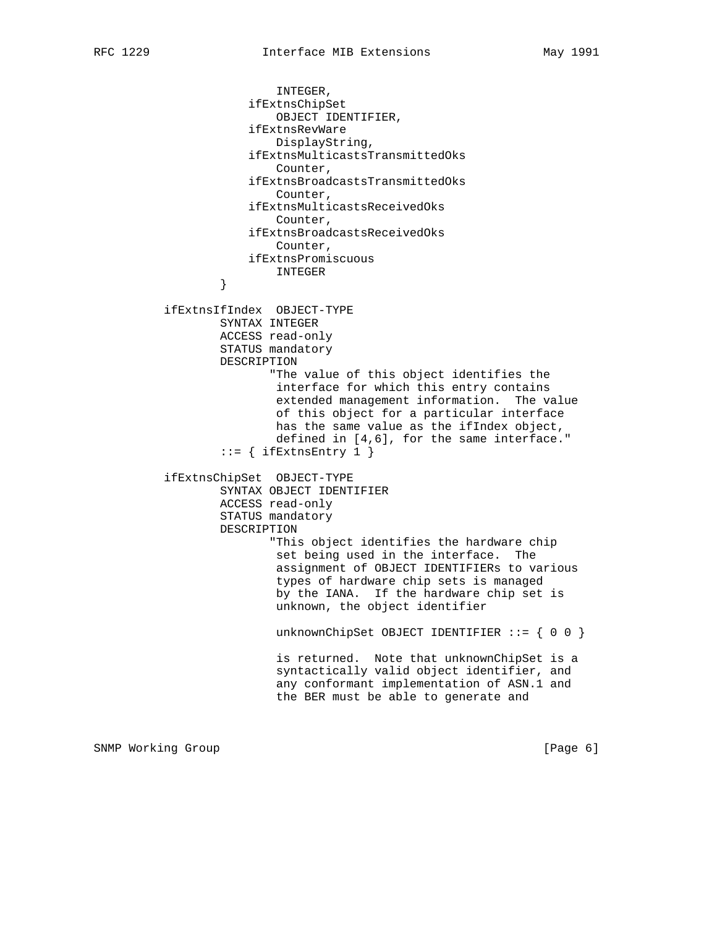INTEGER, ifExtnsChipSet OBJECT IDENTIFIER, ifExtnsRevWare DisplayString, ifExtnsMulticastsTransmittedOks Counter, ifExtnsBroadcastsTransmittedOks Counter, ifExtnsMulticastsReceivedOks Counter, ifExtnsBroadcastsReceivedOks Counter, ifExtnsPromiscuous INTEGER } ifExtnsIfIndex OBJECT-TYPE SYNTAX INTEGER ACCESS read-only STATUS mandatory DESCRIPTION "The value of this object identifies the interface for which this entry contains extended management information. The value of this object for a particular interface has the same value as the ifIndex object, defined in [4,6], for the same interface."  $::=$  { ifExtnsEntry 1 } ifExtnsChipSet OBJECT-TYPE SYNTAX OBJECT IDENTIFIER ACCESS read-only STATUS mandatory DESCRIPTION "This object identifies the hardware chip set being used in the interface. The assignment of OBJECT IDENTIFIERs to various types of hardware chip sets is managed by the IANA. If the hardware chip set is unknown, the object identifier unknownChipSet OBJECT IDENTIFIER ::= { 0 0 } is returned. Note that unknownChipSet is a syntactically valid object identifier, and any conformant implementation of ASN.1 and the BER must be able to generate and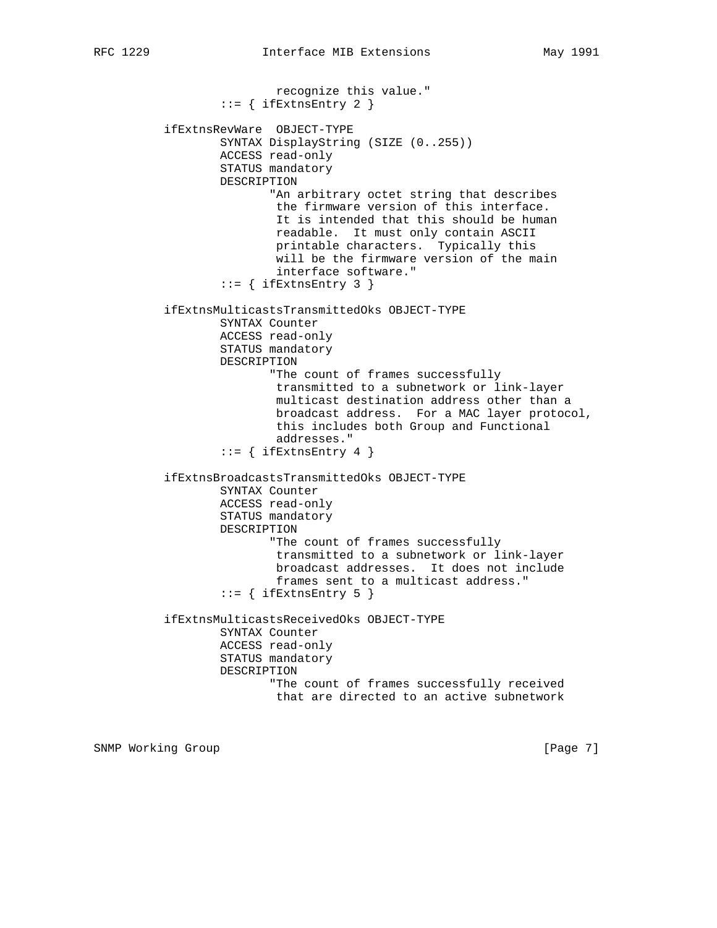recognize this value." ::= { ifExtnsEntry 2 } ifExtnsRevWare OBJECT-TYPE SYNTAX DisplayString (SIZE (0..255)) ACCESS read-only STATUS mandatory DESCRIPTION "An arbitrary octet string that describes the firmware version of this interface. It is intended that this should be human readable. It must only contain ASCII printable characters. Typically this will be the firmware version of the main interface software."  $::=$  { ifExtnsEntry 3 } ifExtnsMulticastsTransmittedOks OBJECT-TYPE SYNTAX Counter ACCESS read-only STATUS mandatory DESCRIPTION "The count of frames successfully transmitted to a subnetwork or link-layer multicast destination address other than a broadcast address. For a MAC layer protocol, this includes both Group and Functional addresses."  $::=$  { ifExtnsEntry 4 } ifExtnsBroadcastsTransmittedOks OBJECT-TYPE SYNTAX Counter ACCESS read-only STATUS mandatory DESCRIPTION "The count of frames successfully transmitted to a subnetwork or link-layer broadcast addresses. It does not include frames sent to a multicast address."  $::=$  { ifExtnsEntry 5 } ifExtnsMulticastsReceivedOks OBJECT-TYPE SYNTAX Counter ACCESS read-only STATUS mandatory DESCRIPTION "The count of frames successfully received that are directed to an active subnetwork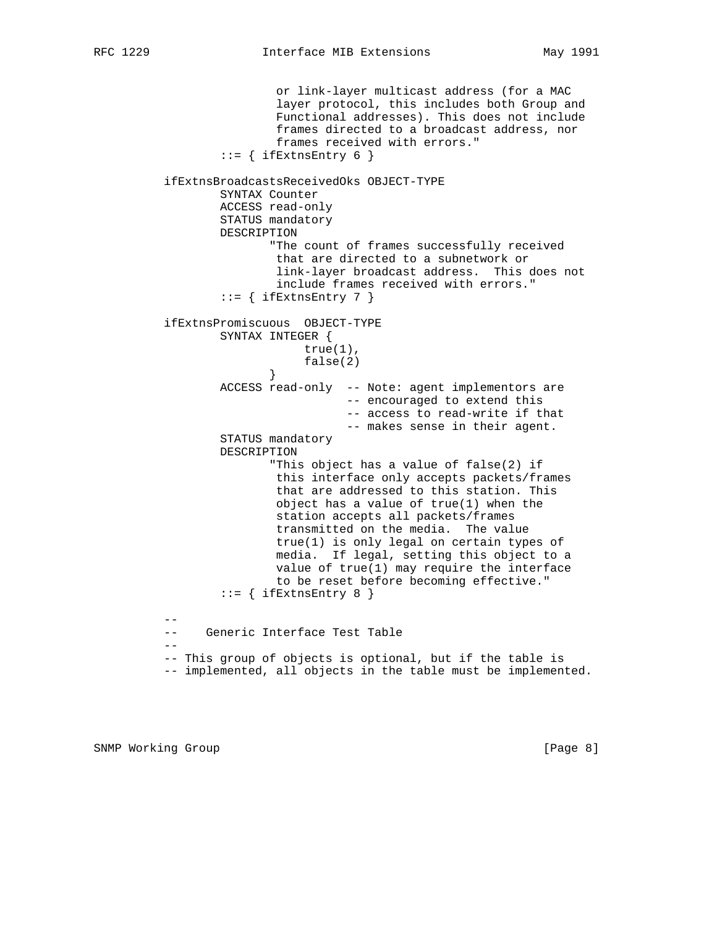or link-layer multicast address (for a MAC layer protocol, this includes both Group and Functional addresses). This does not include frames directed to a broadcast address, nor frames received with errors."  $::=$  { ifExtnsEntry 6 } ifExtnsBroadcastsReceivedOks OBJECT-TYPE SYNTAX Counter ACCESS read-only STATUS mandatory DESCRIPTION "The count of frames successfully received that are directed to a subnetwork or link-layer broadcast address. This does not include frames received with errors."  $::=$  { ifExtnsEntry 7 } ifExtnsPromiscuous OBJECT-TYPE SYNTAX INTEGER { true(1), false(2) } ACCESS read-only -- Note: agent implementors are -- encouraged to extend this -- access to read-write if that -- makes sense in their agent. STATUS mandatory DESCRIPTION "This object has a value of false(2) if this interface only accepts packets/frames that are addressed to this station. This object has a value of true(1) when the station accepts all packets/frames transmitted on the media. The value true(1) is only legal on certain types of media. If legal, setting this object to a value of true(1) may require the interface to be reset before becoming effective."  $::=$  { ifExtnsEntry 8 } -- -- Generic Interface Test Table --

 -- This group of objects is optional, but if the table is -- implemented, all objects in the table must be implemented.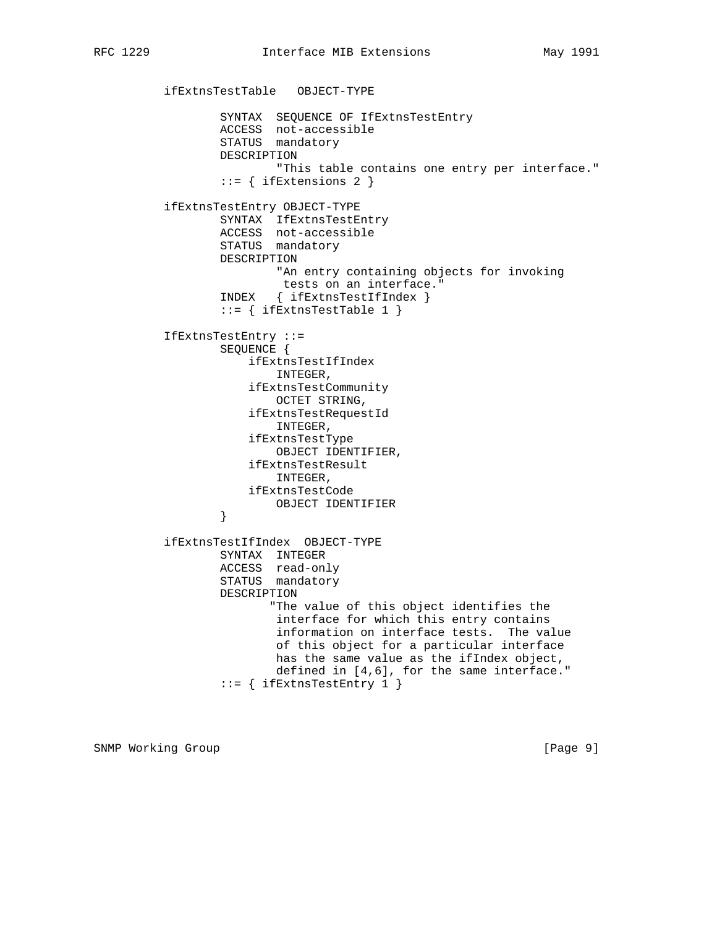ifExtnsTestTable OBJECT-TYPE SYNTAX SEQUENCE OF IfExtnsTestEntry ACCESS not-accessible STATUS mandatory DESCRIPTION "This table contains one entry per interface."  $::=$  { ifExtensions 2 } ifExtnsTestEntry OBJECT-TYPE SYNTAX IfExtnsTestEntry ACCESS not-accessible STATUS mandatory DESCRIPTION "An entry containing objects for invoking tests on an interface." INDEX { ifExtnsTestIfIndex } ::= { ifExtnsTestTable 1 } IfExtnsTestEntry ::= SEQUENCE { ifExtnsTestIfIndex INTEGER, ifExtnsTestCommunity OCTET STRING, ifExtnsTestRequestId INTEGER, ifExtnsTestType OBJECT IDENTIFIER, ifExtnsTestResult INTEGER, ifExtnsTestCode OBJECT IDENTIFIER } ifExtnsTestIfIndex OBJECT-TYPE SYNTAX INTEGER ACCESS read-only STATUS mandatory DESCRIPTION "The value of this object identifies the interface for which this entry contains information on interface tests. The value of this object for a particular interface has the same value as the ifIndex object, defined in [4,6], for the same interface." ::= { ifExtnsTestEntry 1 }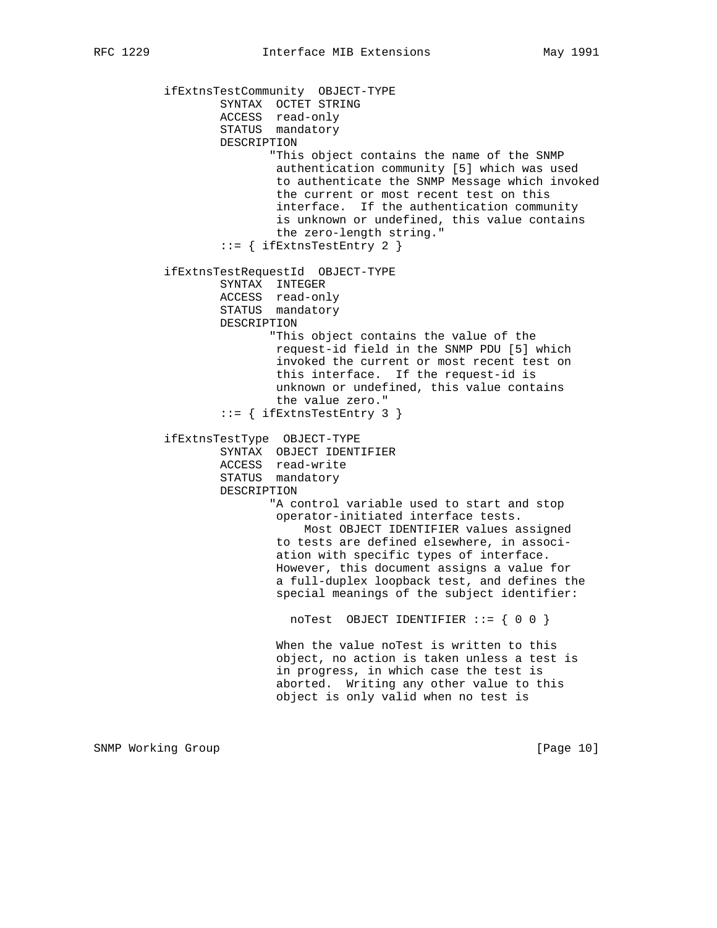ifExtnsTestCommunity OBJECT-TYPE SYNTAX OCTET STRING ACCESS read-only STATUS mandatory DESCRIPTION "This object contains the name of the SNMP authentication community [5] which was used to authenticate the SNMP Message which invoked the current or most recent test on this interface. If the authentication community is unknown or undefined, this value contains the zero-length string."  $::=$  { ifExtnsTestEntry 2 } ifExtnsTestRequestId OBJECT-TYPE SYNTAX INTEGER ACCESS read-only STATUS mandatory DESCRIPTION "This object contains the value of the request-id field in the SNMP PDU [5] which invoked the current or most recent test on this interface. If the request-id is unknown or undefined, this value contains the value zero." ::= { ifExtnsTestEntry 3 } ifExtnsTestType OBJECT-TYPE SYNTAX OBJECT IDENTIFIER ACCESS read-write STATUS mandatory DESCRIPTION "A control variable used to start and stop operator-initiated interface tests. Most OBJECT IDENTIFIER values assigned to tests are defined elsewhere, in associ ation with specific types of interface. However, this document assigns a value for a full-duplex loopback test, and defines the special meanings of the subject identifier: noTest OBJECT IDENTIFIER ::= { 0 0 } When the value noTest is written to this object, no action is taken unless a test is in progress, in which case the test is aborted. Writing any other value to this object is only valid when no test is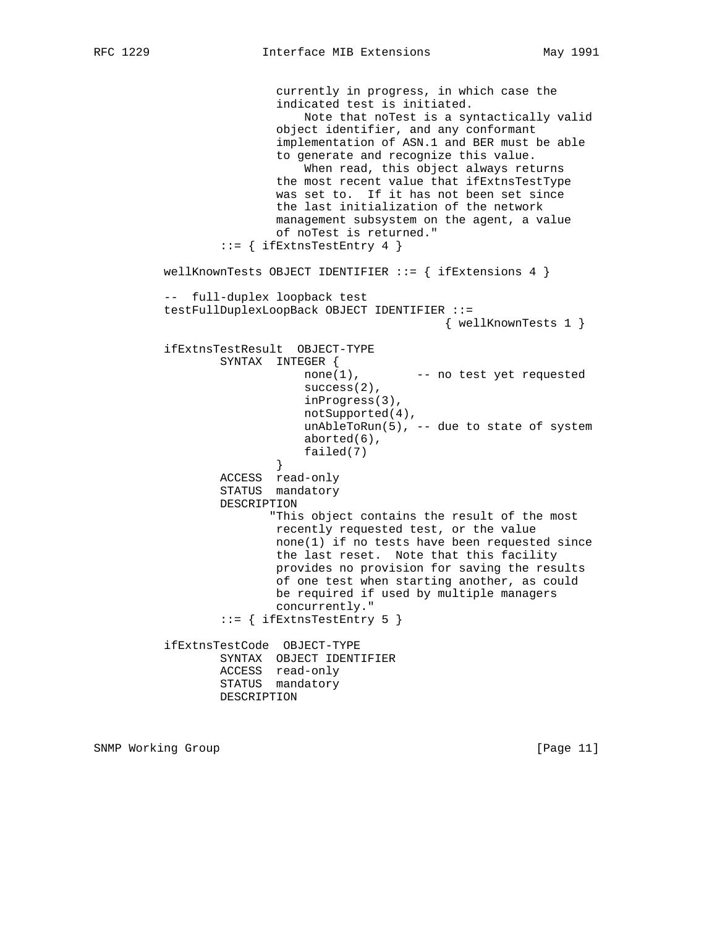currently in progress, in which case the indicated test is initiated. Note that noTest is a syntactically valid object identifier, and any conformant implementation of ASN.1 and BER must be able to generate and recognize this value. When read, this object always returns the most recent value that ifExtnsTestType was set to. If it has not been set since the last initialization of the network management subsystem on the agent, a value of noTest is returned."  $::=$  { ifExtnsTestEntry 4 } wellKnownTests OBJECT IDENTIFIER  $::=$  { ifExtensions 4 } -- full-duplex loopback test testFullDuplexLoopBack OBJECT IDENTIFIER ::= { wellKnownTests 1 } ifExtnsTestResult OBJECT-TYPE SYNTAX INTEGER { none(1), -- no test yet requested success(2), inProgress(3), notSupported(4), unAbleToRun(5), -- due to state of system aborted(6), failed(7) } ACCESS read-only STATUS mandatory DESCRIPTION "This object contains the result of the most recently requested test, or the value none(1) if no tests have been requested since the last reset. Note that this facility provides no provision for saving the results of one test when starting another, as could be required if used by multiple managers concurrently." ::= { ifExtnsTestEntry 5 } ifExtnsTestCode OBJECT-TYPE SYNTAX OBJECT IDENTIFIER ACCESS read-only STATUS mandatory DESCRIPTION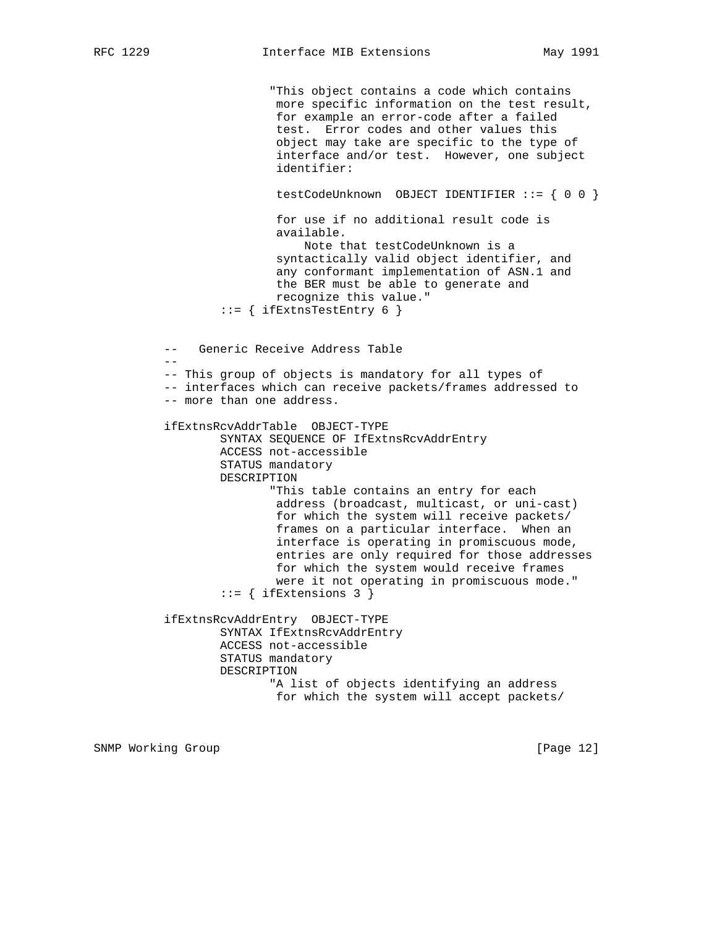"This object contains a code which contains more specific information on the test result, for example an error-code after a failed test. Error codes and other values this object may take are specific to the type of interface and/or test. However, one subject identifier: testCodeUnknown OBJECT IDENTIFIER ::= { 0 0 } for use if no additional result code is available. Note that testCodeUnknown is a syntactically valid object identifier, and any conformant implementation of ASN.1 and the BER must be able to generate and recognize this value."  $::=$  { ifExtnsTestEntry 6 } -- Generic Receive Address Table -- -- This group of objects is mandatory for all types of -- interfaces which can receive packets/frames addressed to -- more than one address. ifExtnsRcvAddrTable OBJECT-TYPE SYNTAX SEQUENCE OF IfExtnsRcvAddrEntry ACCESS not-accessible STATUS mandatory DESCRIPTION "This table contains an entry for each address (broadcast, multicast, or uni-cast) for which the system will receive packets/ frames on a particular interface. When an interface is operating in promiscuous mode, entries are only required for those addresses for which the system would receive frames were it not operating in promiscuous mode."  $::=$  { ifExtensions 3 } ifExtnsRcvAddrEntry OBJECT-TYPE SYNTAX IfExtnsRcvAddrEntry ACCESS not-accessible STATUS mandatory DESCRIPTION "A list of objects identifying an address for which the system will accept packets/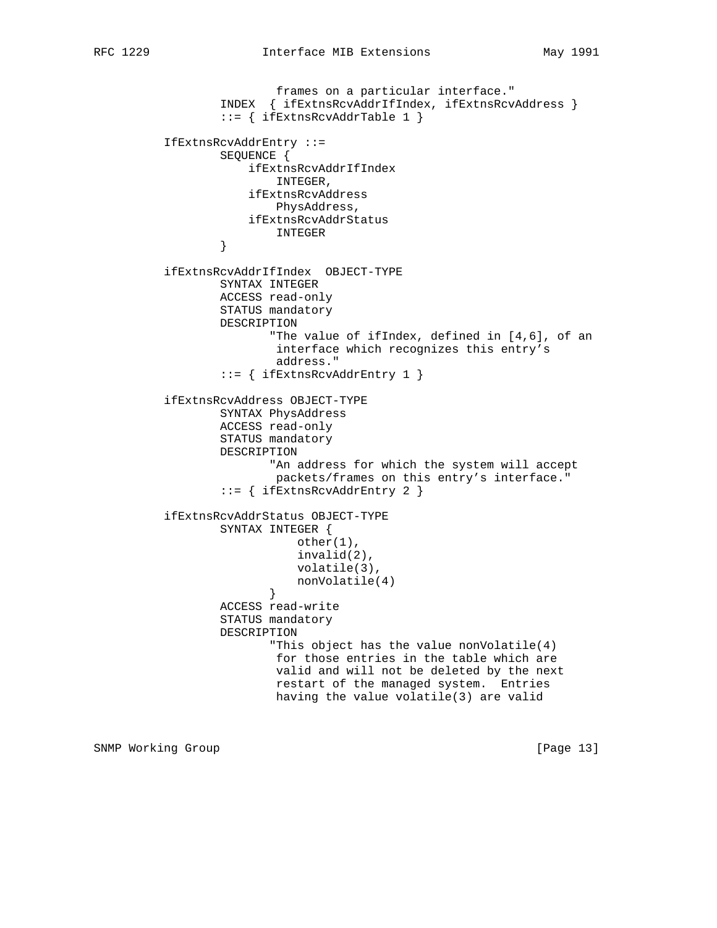frames on a particular interface." INDEX { ifExtnsRcvAddrIfIndex, ifExtnsRcvAddress } ::= { ifExtnsRcvAddrTable 1 } IfExtnsRcvAddrEntry ::= SEQUENCE { ifExtnsRcvAddrIfIndex INTEGER, ifExtnsRcvAddress PhysAddress, ifExtnsRcvAddrStatus INTEGER } ifExtnsRcvAddrIfIndex OBJECT-TYPE SYNTAX INTEGER ACCESS read-only STATUS mandatory DESCRIPTION "The value of ifIndex, defined in [4,6], of an interface which recognizes this entry's address." ::= { ifExtnsRcvAddrEntry 1 } ifExtnsRcvAddress OBJECT-TYPE SYNTAX PhysAddress ACCESS read-only STATUS mandatory DESCRIPTION "An address for which the system will accept packets/frames on this entry's interface." ::= { ifExtnsRcvAddrEntry 2 } ifExtnsRcvAddrStatus OBJECT-TYPE SYNTAX INTEGER { other(1), invalid(2), volatile(3), nonVolatile(4)<br>} } ACCESS read-write STATUS mandatory DESCRIPTION "This object has the value nonVolatile(4) for those entries in the table which are valid and will not be deleted by the next restart of the managed system. Entries having the value volatile(3) are valid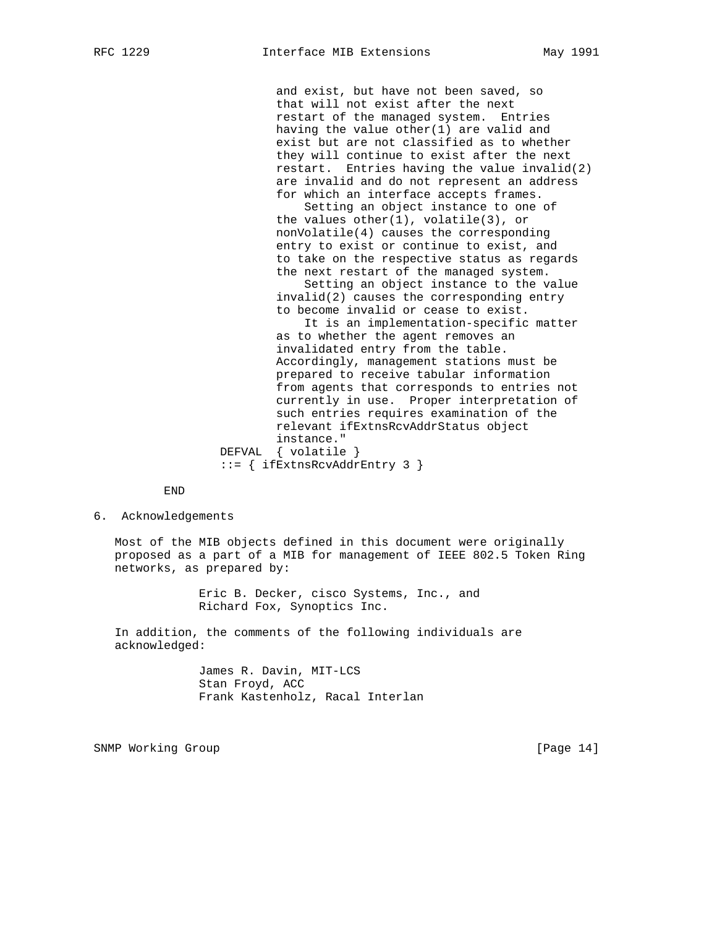and exist, but have not been saved, so that will not exist after the next restart of the managed system. Entries having the value other(1) are valid and exist but are not classified as to whether they will continue to exist after the next restart. Entries having the value invalid(2) are invalid and do not represent an address for which an interface accepts frames.

 Setting an object instance to one of the values other(1), volatile(3), or nonVolatile(4) causes the corresponding entry to exist or continue to exist, and to take on the respective status as regards the next restart of the managed system.

 Setting an object instance to the value invalid(2) causes the corresponding entry to become invalid or cease to exist.

 It is an implementation-specific matter as to whether the agent removes an invalidated entry from the table. Accordingly, management stations must be prepared to receive tabular information from agents that corresponds to entries not currently in use. Proper interpretation of such entries requires examination of the relevant ifExtnsRcvAddrStatus object instance." DEFVAL { volatile } ::= { ifExtnsRcvAddrEntry 3 }

END

6. Acknowledgements

 Most of the MIB objects defined in this document were originally proposed as a part of a MIB for management of IEEE 802.5 Token Ring networks, as prepared by:

> Eric B. Decker, cisco Systems, Inc., and Richard Fox, Synoptics Inc.

 In addition, the comments of the following individuals are acknowledged:

> James R. Davin, MIT-LCS Stan Froyd, ACC Frank Kastenholz, Racal Interlan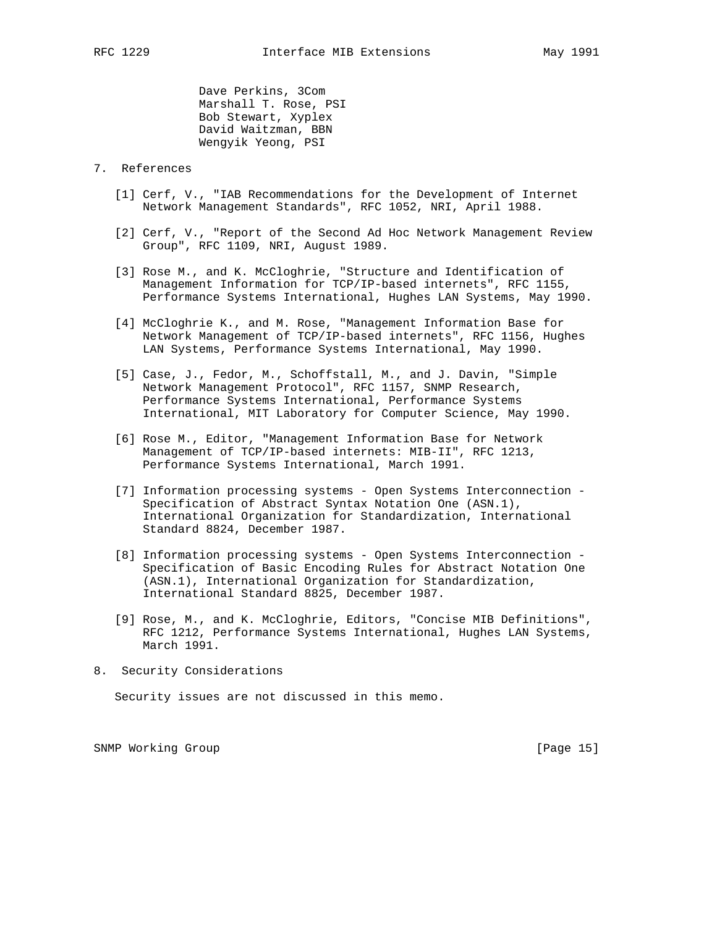Dave Perkins, 3Com Marshall T. Rose, PSI Bob Stewart, Xyplex David Waitzman, BBN Wengyik Yeong, PSI

#### 7. References

- [1] Cerf, V., "IAB Recommendations for the Development of Internet Network Management Standards", RFC 1052, NRI, April 1988.
- [2] Cerf, V., "Report of the Second Ad Hoc Network Management Review Group", RFC 1109, NRI, August 1989.
- [3] Rose M., and K. McCloghrie, "Structure and Identification of Management Information for TCP/IP-based internets", RFC 1155, Performance Systems International, Hughes LAN Systems, May 1990.
- [4] McCloghrie K., and M. Rose, "Management Information Base for Network Management of TCP/IP-based internets", RFC 1156, Hughes LAN Systems, Performance Systems International, May 1990.
- [5] Case, J., Fedor, M., Schoffstall, M., and J. Davin, "Simple Network Management Protocol", RFC 1157, SNMP Research, Performance Systems International, Performance Systems International, MIT Laboratory for Computer Science, May 1990.
- [6] Rose M., Editor, "Management Information Base for Network Management of TCP/IP-based internets: MIB-II", RFC 1213, Performance Systems International, March 1991.
- [7] Information processing systems Open Systems Interconnection Specification of Abstract Syntax Notation One (ASN.1), International Organization for Standardization, International Standard 8824, December 1987.
- [8] Information processing systems Open Systems Interconnection Specification of Basic Encoding Rules for Abstract Notation One (ASN.1), International Organization for Standardization, International Standard 8825, December 1987.
- [9] Rose, M., and K. McCloghrie, Editors, "Concise MIB Definitions", RFC 1212, Performance Systems International, Hughes LAN Systems, March 1991.
- 8. Security Considerations

Security issues are not discussed in this memo.